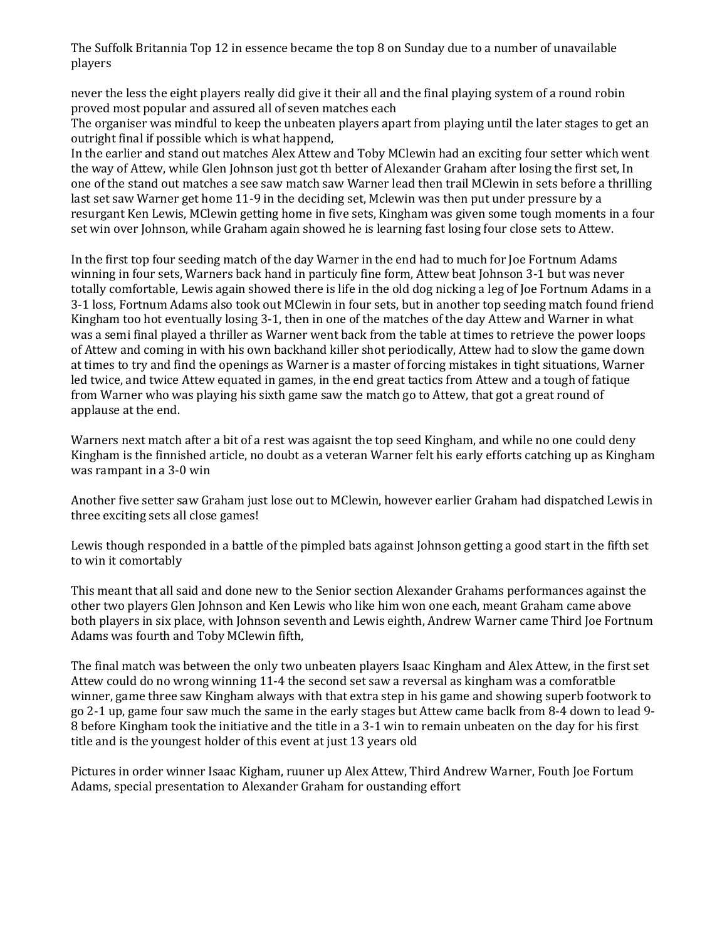The Suffolk Britannia Top 12 in essence became the top 8 on Sunday due to a number of unavailable players

never the less the eight players really did give it their all and the final playing system of a round robin proved most popular and assured all of seven matches each

The organiser was mindful to keep the unbeaten players apart from playing until the later stages to get an outright final if possible which is what happend,

In the earlier and stand out matches Alex Attew and Toby MClewin had an exciting four setter which went the way of Attew, while Glen Johnson just got th better of Alexander Graham after losing the first set, In one of the stand out matches a see saw match saw Warner lead then trail MClewin in sets before a thrilling last set saw Warner get home 11-9 in the deciding set, Mclewin was then put under pressure by a resurgant Ken Lewis, MClewin getting home in five sets, Kingham was given some tough moments in a four set win over Johnson, while Graham again showed he is learning fast losing four close sets to Attew.

In the first top four seeding match of the day Warner in the end had to much for Joe Fortnum Adams winning in four sets, Warners back hand in particuly fine form, Attew beat Johnson 3-1 but was never totally comfortable, Lewis again showed there is life in the old dog nicking a leg of Joe Fortnum Adams in a 3-1 loss, Fortnum Adams also took out MClewin in four sets, but in another top seeding match found friend Kingham too hot eventually losing 3-1, then in one of the matches of the day Attew and Warner in what was a semi final played a thriller as Warner went back from the table at times to retrieve the power loops of Attew and coming in with his own backhand killer shot periodically, Attew had to slow the game down at times to try and find the openings as Warner is a master of forcing mistakes in tight situations, Warner led twice, and twice Attew equated in games, in the end great tactics from Attew and a tough of fatique from Warner who was playing his sixth game saw the match go to Attew, that got a great round of applause at the end.

Warners next match after a bit of a rest was agaisnt the top seed Kingham, and while no one could deny Kingham is the finnished article, no doubt as a veteran Warner felt his early efforts catching up as Kingham was rampant in a 3-0 win

Another five setter saw Graham just lose out to MClewin, however earlier Graham had dispatched Lewis in three exciting sets all close games!

Lewis though responded in a battle of the pimpled bats against Johnson getting a good start in the fifth set to win it comortably

This meant that all said and done new to the Senior section Alexander Grahams performances against the other two players Glen Johnson and Ken Lewis who like him won one each, meant Graham came above both players in six place, with Johnson seventh and Lewis eighth, Andrew Warner came Third Joe Fortnum Adams was fourth and Toby MClewin fifth,

The final match was between the only two unbeaten players Isaac Kingham and Alex Attew, in the first set Attew could do no wrong winning 11-4 the second set saw a reversal as kingham was a comforatble winner, game three saw Kingham always with that extra step in his game and showing superb footwork to go 2-1 up, game four saw much the same in the early stages but Attew came baclk from 8-4 down to lead 9- 8 before Kingham took the initiative and the title in a 3-1 win to remain unbeaten on the day for his first title and is the youngest holder of this event at just 13 years old

Pictures in order winner Isaac Kigham, ruuner up Alex Attew, Third Andrew Warner, Fouth Joe Fortum Adams, special presentation to Alexander Graham for oustanding effort